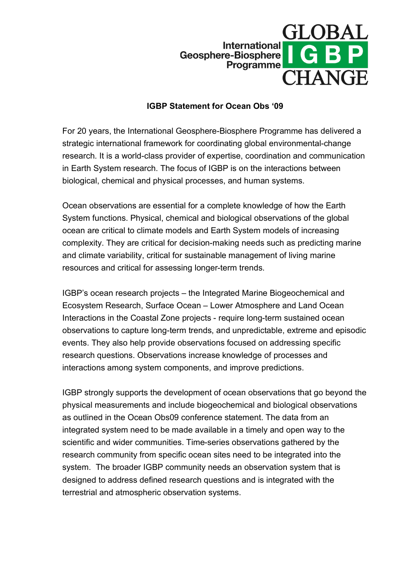

## **IGBP Statement for Ocean Obs '09**

For 20 years, the International Geosphere-Biosphere Programme has delivered a strategic international framework for coordinating global environmental-change research. It is a world-class provider of expertise, coordination and communication in Earth System research. The focus of IGBP is on the interactions between biological, chemical and physical processes, and human systems.

Ocean observations are essential for a complete knowledge of how the Earth System functions. Physical, chemical and biological observations of the global ocean are critical to climate models and Earth System models of increasing complexity. They are critical for decision-making needs such as predicting marine and climate variability, critical for sustainable management of living marine resources and critical for assessing longer-term trends.

IGBP's ocean research projects – the Integrated Marine Biogeochemical and Ecosystem Research, Surface Ocean – Lower Atmosphere and Land Ocean Interactions in the Coastal Zone projects - require long-term sustained ocean observations to capture long-term trends, and unpredictable, extreme and episodic events. They also help provide observations focused on addressing specific research questions. Observations increase knowledge of processes and interactions among system components, and improve predictions.

IGBP strongly supports the development of ocean observations that go beyond the physical measurements and include biogeochemical and biological observations as outlined in the Ocean Obs09 conference statement. The data from an integrated system need to be made available in a timely and open way to the scientific and wider communities. Time-series observations gathered by the research community from specific ocean sites need to be integrated into the system. The broader IGBP community needs an observation system that is designed to address defined research questions and is integrated with the terrestrial and atmospheric observation systems.